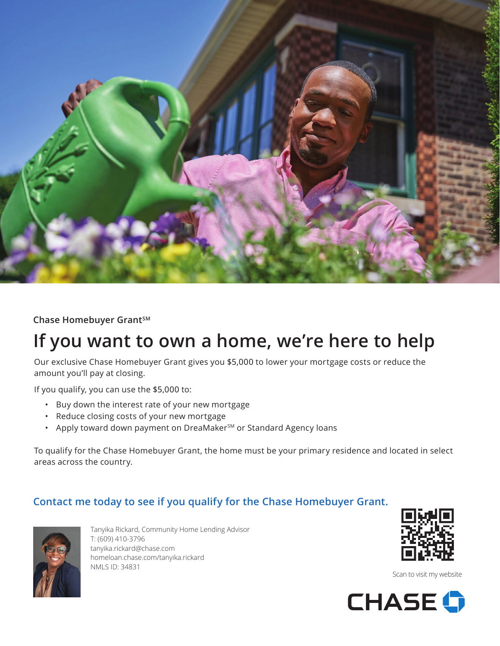

**Chase Homebuyer GrantSM** 

## **If you want to own a home, we're here to help**

Our exclusive Chase Homebuyer Grant gives you \$5,000 to lower your mortgage costs or reduce the amount you'll pay at closing.

If you qualify, you can use the \$5,000 to:

- Buy down the interest rate of your new mortgage
- Reduce closing costs of your new mortgage
- Apply toward down payment on DreaMaker<sup>sM</sup> or Standard Agency loans

To qualify for the Chase Homebuyer Grant, the home must be your primary residence and located in select areas across the country.

## **Contact me today to see if you qualify for the Chase Homebuyer Grant.**



Tanyika Rickard, Community Home Lending Advisor T: (609) 410-3796 tanyika.rickard@chase.com homeloan.chase.com/tanyika.rickard NMLS ID: 34831



Scan to visit my website